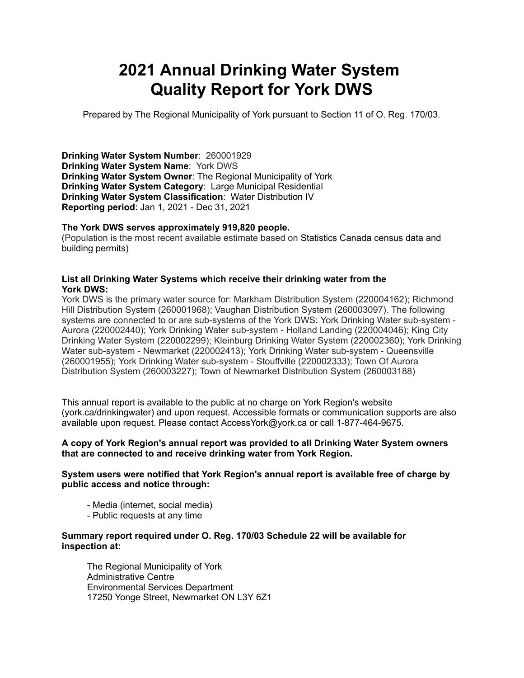# **2021 Annual Drinking Water System Quality Report for York DWS**

Prepared by The Regional Municipality of York pursuant to Section 11 of O. Reg. 170/03.

**Drinking Water System Number**: 260001929 **Drinking Water System Name**: York DWS **Drinking Water System Owner**: The Regional Municipality of York **Drinking Water System Category**: Large Municipal Residential **Drinking Water System Classification**: Water Distribution IV **Reporting period**: Jan 1, 2021 - Dec 31, 2021

#### **The York DWS serves approximately 919,820 people.**

(Population is the most recent available estimate based on Statistics Canada census data and building permits)

#### **List all Drinking Water Systems which receive their drinking water from the York DWS:**

York DWS is the primary water source for: Markham Distribution System (220004162); Richmond Hill Distribution System (260001968); Vaughan Distribution System (260003097). The following systems are connected to or are sub-systems of the York DWS: York Drinking Water sub-system - Aurora (220002440); York Drinking Water sub-system - Holland Landing (220004046); King City Drinking Water System (220002299); Kleinburg Drinking Water System (220002360); York Drinking Water sub-system - Newmarket (220002413); York Drinking Water sub-system - Queensville (260001955); York Drinking Water sub-system - Stouffville (220002333); Town Of Aurora Distribution System (260003227); Town of Newmarket Distribution System (260003188)

This annual report is available to the public at no charge on York Region's website (york.ca/drinkingwater) and upon request. Accessible formats or communication supports are also available upon request. Please contact [AccessYork@york.ca](mailto:AccessYork@york.ca) or call 1-877-464-9675.

#### **A copy of York Region's annual report was provided to all Drinking Water System owners that are connected to and receive drinking water from York Region.**

#### **System users were notified that York Region's annual report is available free of charge by public access and notice through:**

- Media (internet, social media)
- Public requests at any time

#### **Summary report required under O. Reg. 170/03 Schedule 22 will be available for inspection at:**

 The Regional Municipality of York Administrative Centre Environmental Services Department 17250 Yonge Street, Newmarket ON L3Y 6Z1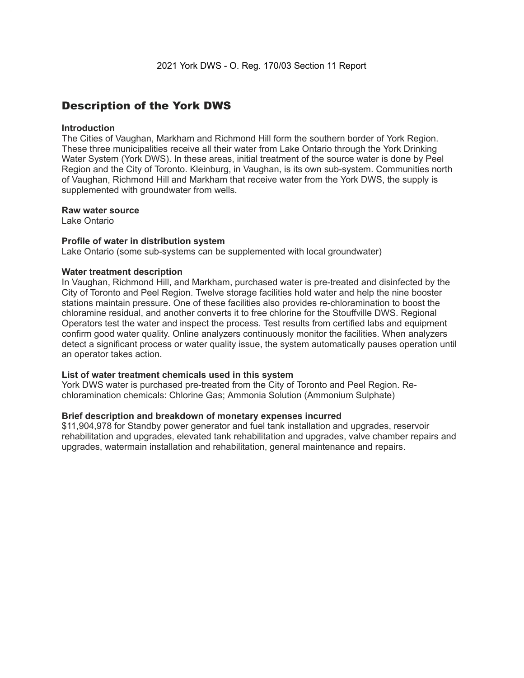### Description of the York DWS

#### **Introduction**

The Cities of Vaughan, Markham and Richmond Hill form the southern border of York Region. These three municipalities receive all their water from Lake Ontario through the York Drinking Water System (York DWS). In these areas, initial treatment of the source water is done by Peel Region and the City of Toronto. Kleinburg, in Vaughan, is its own sub-system. Communities north of Vaughan, Richmond Hill and Markham that receive water from the York DWS, the supply is supplemented with groundwater from wells.

#### **Raw water source**

Lake Ontario

#### **Profile of water in distribution system**

Lake Ontario (some sub-systems can be supplemented with local groundwater)

#### **Water treatment description**

In Vaughan, Richmond Hill, and Markham, purchased water is pre-treated and disinfected by the City of Toronto and Peel Region. Twelve storage facilities hold water and help the nine booster stations maintain pressure. One of these facilities also provides re-chloramination to boost the chloramine residual, and another converts it to free chlorine for the Stouffville DWS. Regional Operators test the water and inspect the process. Test results from certified labs and equipment confirm good water quality. Online analyzers continuously monitor the facilities. When analyzers detect a significant process or water quality issue, the system automatically pauses operation until an operator takes action.

#### **List of water treatment chemicals used in this system**

York DWS water is purchased pre-treated from the City of Toronto and Peel Region. Rechloramination chemicals: Chlorine Gas; Ammonia Solution (Ammonium Sulphate)

#### **Brief description and breakdown of monetary expenses incurred**

\$11,904,978 for Standby power generator and fuel tank installation and upgrades, reservoir rehabilitation and upgrades, elevated tank rehabilitation and upgrades, valve chamber repairs and upgrades, watermain installation and rehabilitation, general maintenance and repairs.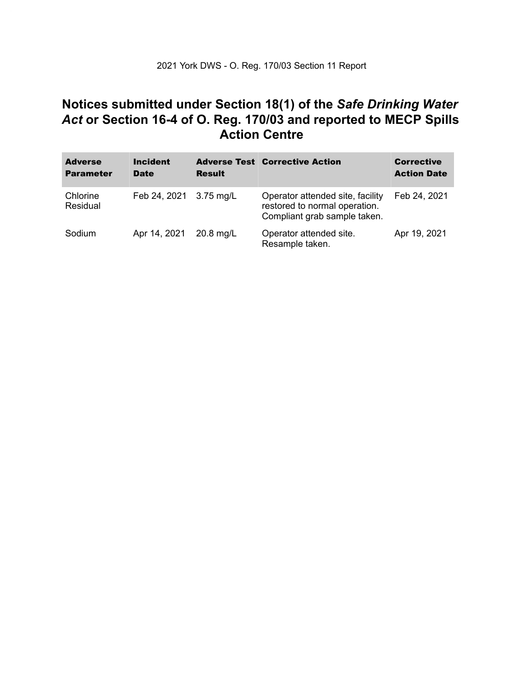### **Notices submitted under Section 18(1) of the** *Safe Drinking Water*  *Act* **or Section 16-4 of O. Reg. 170/03 and reported to MECP Spills Action Centre**

| <b>Adverse</b><br><b>Parameter</b> | <b>Incident</b><br><b>Date</b> | <b>Result</b> | <b>Adverse Test Corrective Action</b>                                                             | <b>Corrective</b><br><b>Action Date</b> |
|------------------------------------|--------------------------------|---------------|---------------------------------------------------------------------------------------------------|-----------------------------------------|
| Chlorine<br>Residual               | Feb 24, 2021 3.75 mg/L         |               | Operator attended site, facility<br>restored to normal operation.<br>Compliant grab sample taken. | Feb 24, 2021                            |
| Sodium                             | Apr 14, 2021                   | $20.8$ mg/L   | Operator attended site.<br>Resample taken.                                                        | Apr 19, 2021                            |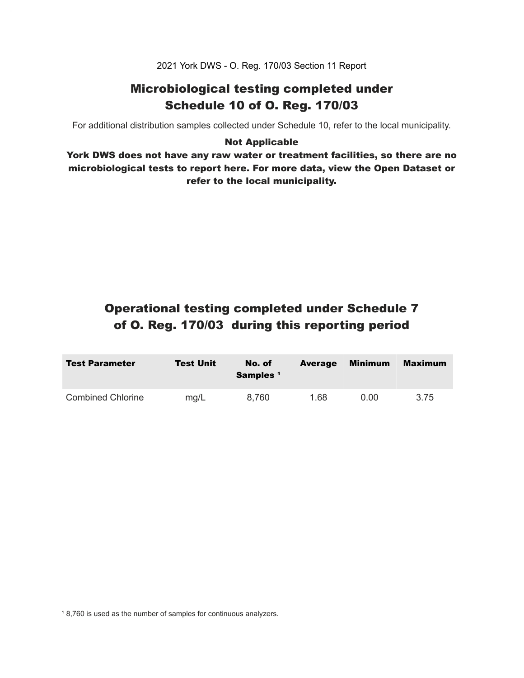2021 York DWS - O. Reg. 170/03 Section 11 Report

### Microbiological testing completed under Schedule 10 of O. Reg. 170/03

For additional distribution samples collected under Schedule 10, refer to the local municipality.

#### Not Applicable

 York DWS does not have any raw water or treatment facilities, so there are no microbiological tests to report here. For more data, view the Open Dataset or refer to the local municipality.

## Operational testing completed under Schedule 7 of O. Reg. 170/03 during this reporting period

| <b>Test Parameter</b>    | <b>Test Unit</b> | No. of<br>Samples <sup>1</sup> | <b>Average</b> | Minimum  | Maximum |
|--------------------------|------------------|--------------------------------|----------------|----------|---------|
| <b>Combined Chlorine</b> | mg/L             | 8.760                          | 1.68           | $0.00\,$ | 3.75    |

<sup>1</sup> 8,760 is used as the number of samples for continuous analyzers.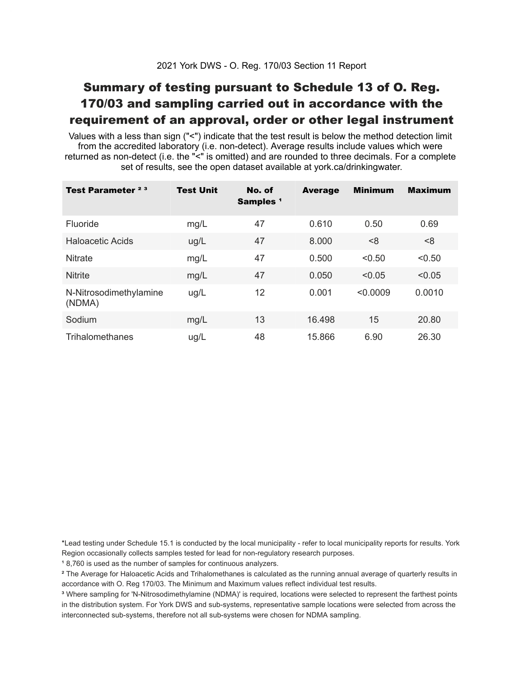# Summary of testing pursuant to Schedule 13 of O. Reg. 170/03 and sampling carried out in accordance with the requirement of an approval, order or other legal instrument

 Values with a less than sign ("<") indicate that the test result is below the method detection limit from the accredited laboratory (i.e. non-detect). Average results include values which were returned as non-detect (i.e. the "<" is omitted) and are rounded to three decimals. For a complete set of results, see the open dataset available at york.ca/drinkingwater.

| Test Parameter <sup>23</sup>     | <b>Test Unit</b> | No. of<br>Samples <sup>1</sup> | <b>Average</b> | <b>Minimum</b> | <b>Maximum</b> |
|----------------------------------|------------------|--------------------------------|----------------|----------------|----------------|
| <b>Fluoride</b>                  | mg/L             | 47                             | 0.610          | 0.50           | 0.69           |
| Haloacetic Acids                 | ug/L             | 47                             | 8.000          | < 8            | <8             |
| <b>Nitrate</b>                   | mg/L             | 47                             | 0.500          | < 0.50         | < 0.50         |
| <b>Nitrite</b>                   | mg/L             | 47                             | 0.050          | < 0.05         | < 0.05         |
| N-Nitrosodimethylamine<br>(NDMA) | ug/L             | 12                             | 0.001          | < 0.0009       | 0.0010         |
| Sodium                           | mg/L             | 13                             | 16.498         | 15             | 20.80          |
| Trihalomethanes                  | ug/L             | 48                             | 15.866         | 6.90           | 26.30          |

 \*Lead testing under Schedule 15.1 is conducted by the local municipality - refer to local municipality reports for results. York Region occasionally collects samples tested for lead for non-regulatory research purposes.

<sup>1</sup>8,760 is used as the number of samples for continuous analyzers.

 $\mathrm{^2}$  The Average for Haloacetic Acids and Trihalomethanes is calculated as the running annual average of quarterly results in accordance with O. Reg 170/03. The Minimum and Maximum values reflect individual test results.

<sup>3</sup> Where sampling for 'N-Nitrosodimethylamine (NDMA)' is required, locations were selected to represent the farthest points in the distribution system. For York DWS and sub-systems, representative sample locations were selected from across the interconnected sub-systems, therefore not all sub-systems were chosen for NDMA sampling.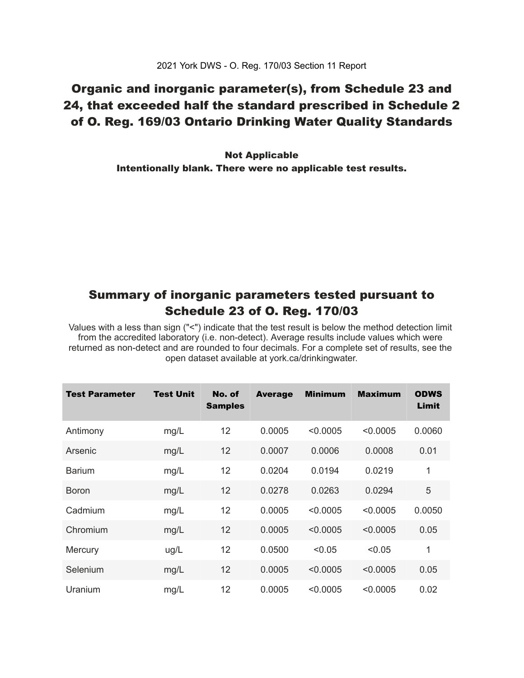## Organic and inorganic parameter(s), from Schedule 23 and 24, that exceeded half the standard prescribed in Schedule 2 of O. Reg. 169/03 Ontario Drinking Water Quality Standards

 Intentionally blank. There were no applicable test results. Not Applicable

### Summary of inorganic parameters tested pursuant to Schedule 23 of O. Reg. 170/03

 Values with a less than sign ("<") indicate that the test result is below the method detection limit from the accredited laboratory (i.e. non-detect). Average results include values which were returned as non-detect and are rounded to four decimals. For a complete set of results, see the open dataset available at york.ca/drinkingwater.

| Test Parameter | <b>Test Unit</b> | No. of<br><b>Samples</b> | <b>Average</b> | <b>Minimum</b> | <b>Maximum</b> | <b>ODWS</b><br>Limit |
|----------------|------------------|--------------------------|----------------|----------------|----------------|----------------------|
| Antimony       | mg/L             | 12                       | 0.0005         | < 0.0005       | < 0.0005       | 0.0060               |
| Arsenic        | mg/L             | 12                       | 0.0007         | 0.0006         | 0.0008         | 0.01                 |
| <b>Barium</b>  | mg/L             | 12                       | 0.0204         | 0.0194         | 0.0219         | 1                    |
| <b>Boron</b>   | mg/L             | 12                       | 0.0278         | 0.0263         | 0.0294         | 5                    |
| Cadmium        | mg/L             | 12                       | 0.0005         | < 0.0005       | < 0.0005       | 0.0050               |
| Chromium       | mg/L             | 12                       | 0.0005         | < 0.0005       | < 0.0005       | 0.05                 |
| Mercury        | ug/L             | 12                       | 0.0500         | < 0.05         | < 0.05         | 1                    |
| Selenium       | mg/L             | 12                       | 0.0005         | < 0.0005       | < 0.0005       | 0.05                 |
| Uranium        | mg/L             | 12                       | 0.0005         | < 0.0005       | < 0.0005       | 0.02                 |